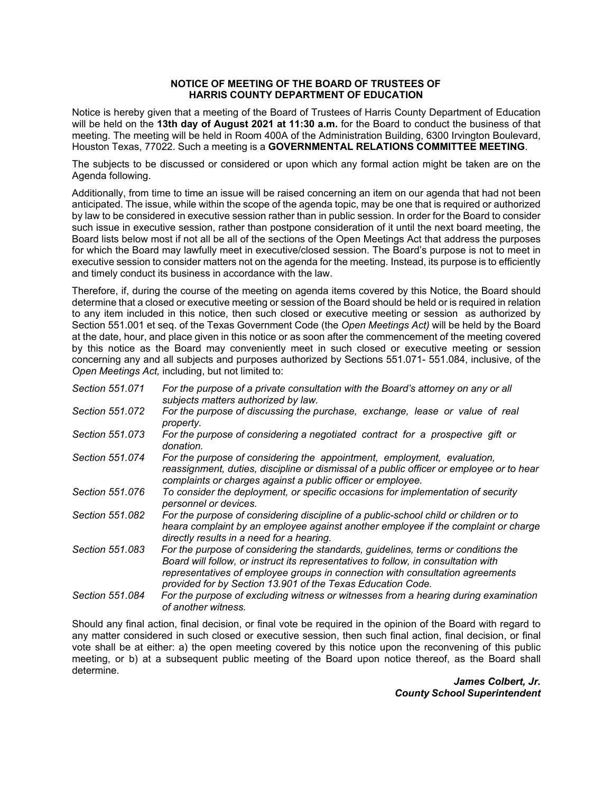## **NOTICE OF MEETING OF THE BOARD OF TRUSTEES OF HARRIS COUNTY DEPARTMENT OF EDUCATION**

Notice is hereby given that a meeting of the Board of Trustees of Harris County Department of Education will be held on the **13th day of August 2021 at 11:30 a.m.** for the Board to conduct the business of that meeting. The meeting will be held in Room 400A of the Administration Building, 6300 Irvington Boulevard, Houston Texas, 77022. Such a meeting is a **GOVERNMENTAL RELATIONS COMMITTEE MEETING**.

The subjects to be discussed or considered or upon which any formal action might be taken are on the Agenda following.

Additionally, from time to time an issue will be raised concerning an item on our agenda that had not been anticipated. The issue, while within the scope of the agenda topic, may be one that is required or authorized by law to be considered in executive session rather than in public session. In order for the Board to consider such issue in executive session, rather than postpone consideration of it until the next board meeting, the Board lists below most if not all be all of the sections of the Open Meetings Act that address the purposes for which the Board may lawfully meet in executive/closed session. The Board's purpose is not to meet in executive session to consider matters not on the agenda for the meeting. Instead, its purpose is to efficiently and timely conduct its business in accordance with the law.

 to any item included in this notice, then such closed or executive meeting or session as authorized by Therefore, if, during the course of the meeting on agenda items covered by this Notice, the Board should determine that a closed or executive meeting or session of the Board should be held or is required in relation Section 551.001 et seq. of the Texas Government Code (the *Open Meetings Act)* will be held by the Board at the date, hour, and place given in this notice or as soon after the commencement of the meeting covered by this notice as the Board may conveniently meet in such closed or executive meeting or session concerning any and all subjects and purposes authorized by Sections 551.071- 551.084, inclusive, of the *Open Meetings Act,* including, but not limited to:

| Section 551.071 | For the purpose of a private consultation with the Board's attorney on any or all<br>subjects matters authorized by law.                                                                                                                                                                                                |
|-----------------|-------------------------------------------------------------------------------------------------------------------------------------------------------------------------------------------------------------------------------------------------------------------------------------------------------------------------|
| Section 551.072 | For the purpose of discussing the purchase, exchange, lease or value of real<br>property.                                                                                                                                                                                                                               |
| Section 551.073 | For the purpose of considering a negotiated contract for a prospective gift or<br>donation.                                                                                                                                                                                                                             |
| Section 551.074 | For the purpose of considering the appointment, employment, evaluation,<br>reassignment, duties, discipline or dismissal of a public officer or employee or to hear<br>complaints or charges against a public officer or employee.                                                                                      |
| Section 551.076 | To consider the deployment, or specific occasions for implementation of security<br>personnel or devices.                                                                                                                                                                                                               |
| Section 551,082 | For the purpose of considering discipline of a public-school child or children or to<br>heara complaint by an employee against another employee if the complaint or charge<br>directly results in a need for a hearing.                                                                                                 |
| Section 551.083 | For the purpose of considering the standards, guidelines, terms or conditions the<br>Board will follow, or instruct its representatives to follow, in consultation with<br>representatives of employee groups in connection with consultation agreements<br>provided for by Section 13.901 of the Texas Education Code. |
| Section 551.084 | For the purpose of excluding witness or witnesses from a hearing during examination<br>of another witness.                                                                                                                                                                                                              |

Should any final action, final decision, or final vote be required in the opinion of the Board with regard to any matter considered in such closed or executive session, then such final action, final decision, or final vote shall be at either: a) the open meeting covered by this notice upon the reconvening of this public meeting, or b) at a subsequent public meeting of the Board upon notice thereof, as the Board shall determine.

*James Colbert, Jr. County School Superintendent*